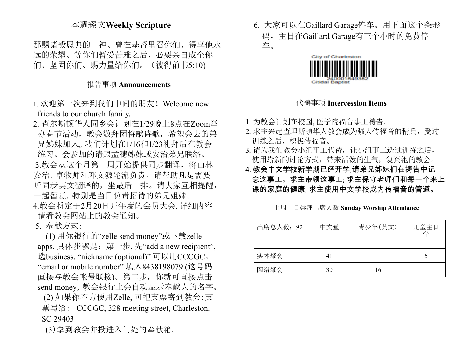## 本週經文**Weekly Scripture**

那赐诸般恩典的 神、曾在基督里召你们、得享他永 远的荣耀、等你们暂受苦难之后、必要亲自成全你 们、坚固你们、赐力量给你们。(彼得前书5:10)

## 报告事项 **Announcements**

- 1. 欢迎第一次来到我们中间的朋友!Welcome new friends to our church family.
- 2. 查尔斯顿华人同乡会计划在1/29晚上8点在Zoom举 办春节活动,教会敬拜团将献诗歌,希望会去的弟 兄姊妹加入。我们计划在1/16和1/23礼拜后在教会 练习。会参加的请跟孟穂姊妹或安治弟兄联络。 3.教会从这个月第一周开始提供同步翻译,将由林 安治,卓牧师和邓文源轮流负责。请帮助凡是需要 听同步英文翻译的,坐最后一排。请大家互相提醒, 一起留意,特别是当日负责招待的弟兄姐妹。
- 4.教会将定于2月20日开年度的会员大会. 详细内容 请看教会网站上的教会通知。

5. 奉献方式:

(1) 用你银行的"zelle send money"或下载zelle apps, 具体步骤是:第一步, 先"add a new recipient", 选business, "nickname (optional)" 可以用CCCGC。 "email or mobile number" 填入8438198079 (这号码 直接与教会帐号联接)。第二步,你就可直接点击 send money, 教会银行上会自动显示奉献人的名字。 (2) 如果你不方便用Zelle, 可把支票寄到教会:支

票写给: CCCGC, 328 meeting street, Charleston, SC 29403

(3)拿到教会并投进入门处的奉献箱。

6. 大家可以在Gaillard Garage停车。用下面这个条形 码,主日在Gaillard Garage有三个小时的免费停 车。



#### 代祷事项 **Intercession Items**

1. 为教会计划在校园, 医学院福音事工祷告。

- 2. 求主兴起查理斯顿华人教会成为强大传福音的精兵,受过 训练之后,积极传福音。
- 3. 请为我们教会小组事工代祷, 让小组事工透过训练之后, 使用崭新的讨论方式,带来活泼的生气,复兴祂的教会。
- 4. 教会中文学校新学期已经开学,请弟兄姊妹们在祷告中记 念这事工。求主带领这事工; 求主保守老师们和每一个来上 课的家庭的健康; 求主使用中文学校成为传福音的管道。

上周主日崇拜出席人数 **Sunday Worship Attendance**

| 出席总人数: 92 | 中文堂 | 青少年(英文) | 儿童主日<br>学 |
|-----------|-----|---------|-----------|
| 实体聚会      | 41  |         |           |
| 网络聚会      | 30  | 16      |           |